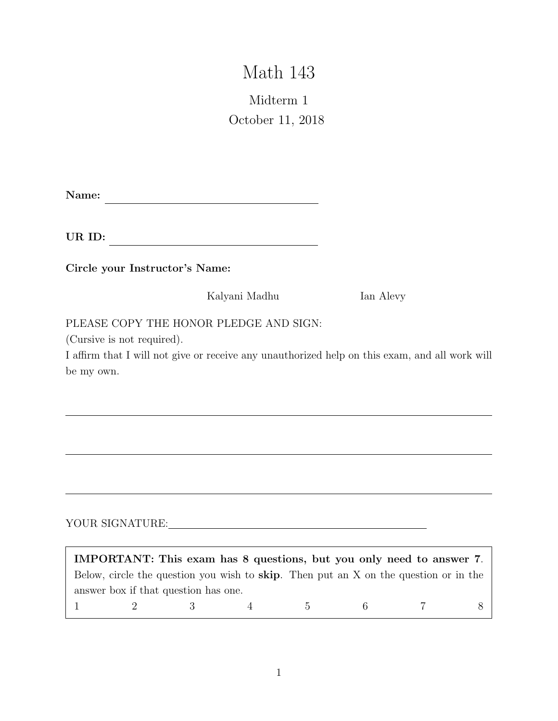# Math 143

## Midterm 1 October 11, 2018

Name:

UR ID:

Circle your Instructor's Name:

Kalyani Madhu Ian Alevy

PLEASE COPY THE HONOR PLEDGE AND SIGN:

(Cursive is not required).

I affirm that I will not give or receive any unauthorized help on this exam, and all work will be my own.

### YOUR SIGNATURE:

| IMPORTANT: This exam has 8 questions, but you only need to answer 7. |  |  |  |                                                                                              |  |          |
|----------------------------------------------------------------------|--|--|--|----------------------------------------------------------------------------------------------|--|----------|
|                                                                      |  |  |  | Below, circle the question you wish to <b>skip</b> . Then put an X on the question or in the |  |          |
| answer box if that question has one.                                 |  |  |  |                                                                                              |  |          |
|                                                                      |  |  |  | $\frac{1}{2}$ $\frac{3}{4}$ $\frac{5}{5}$ 6 7                                                |  | $\sim$ 8 |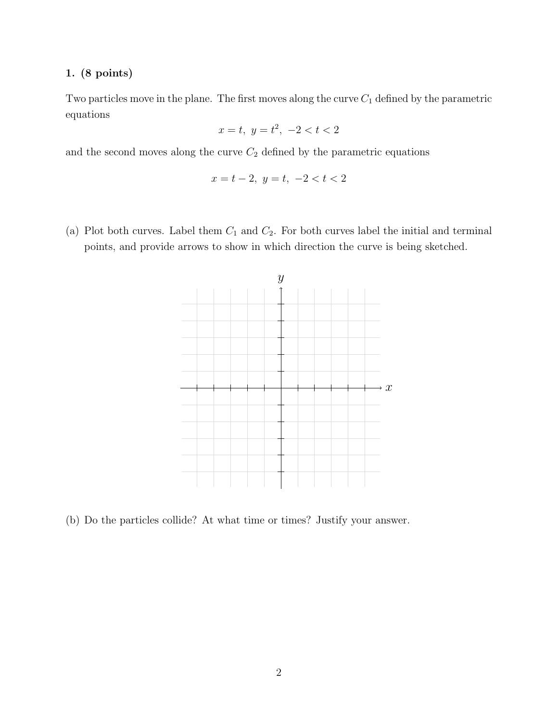Two particles move in the plane. The first moves along the curve  $C_1$  defined by the parametric equations

$$
x = t, \ y = t^2, \ -2 < t < 2
$$

and the second moves along the curve  $C_2$  defined by the parametric equations

$$
x = t - 2, \ y = t, \ -2 < t < 2
$$

(a) Plot both curves. Label them  $C_1$  and  $C_2$ . For both curves label the initial and terminal points, and provide arrows to show in which direction the curve is being sketched.



(b) Do the particles collide? At what time or times? Justify your answer.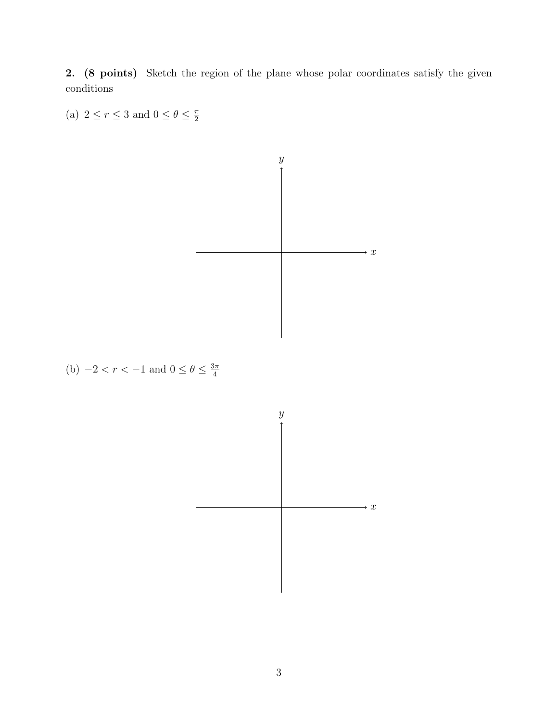2. (8 points) Sketch the region of the plane whose polar coordinates satisfy the given conditions

(a)  $2 \le r \le 3$  and  $0 \le \theta \le \frac{\pi}{2}$ 



(b)  $-2 < r < -1$  and  $0 \le \theta \le \frac{3\pi}{4}$ 

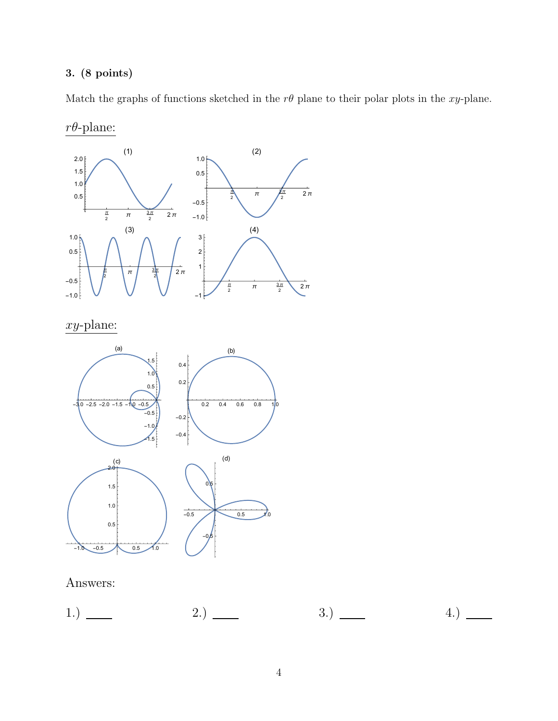Match the graphs of functions sketched in the  $r\theta$  plane to their polar plots in the *xy*-plane.



Answers:

|--|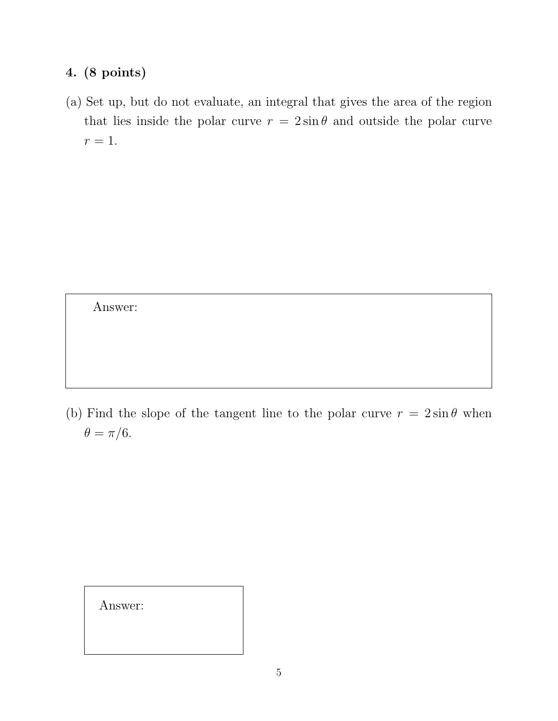(a) Set up, but do not evaluate, an integral that gives the area of the region that lies inside the polar curve  $r = 2 \sin \theta$  and outside the polar curve  $r=1$ .

Answer:

(b) Find the slope of the tangent line to the polar curve  $r = 2 \sin \theta$  when  $\theta = \pi/6.$ 

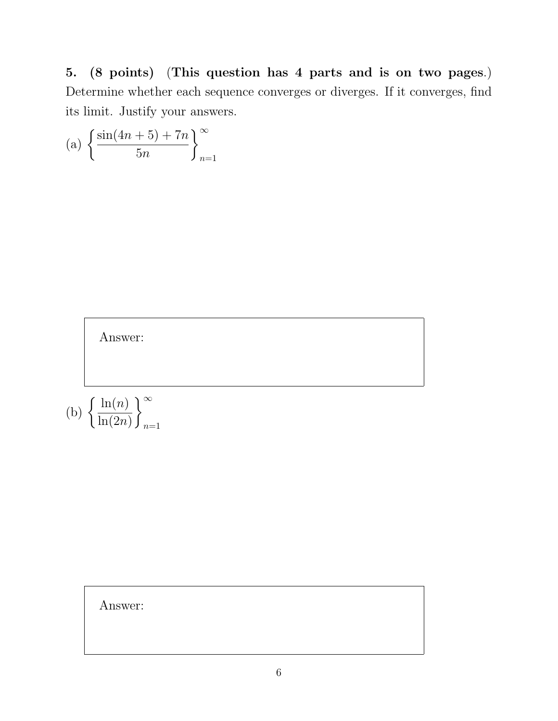5. (8 points) (This question has 4 parts and is on two pages.) Determine whether each sequence converges or diverges. If it converges, find its limit. Justify your answers.

(a) 
$$
\left\{ \frac{\sin(4n+5) + 7n}{5n} \right\}_{n=1}^{\infty}
$$



Answer:

*n*=1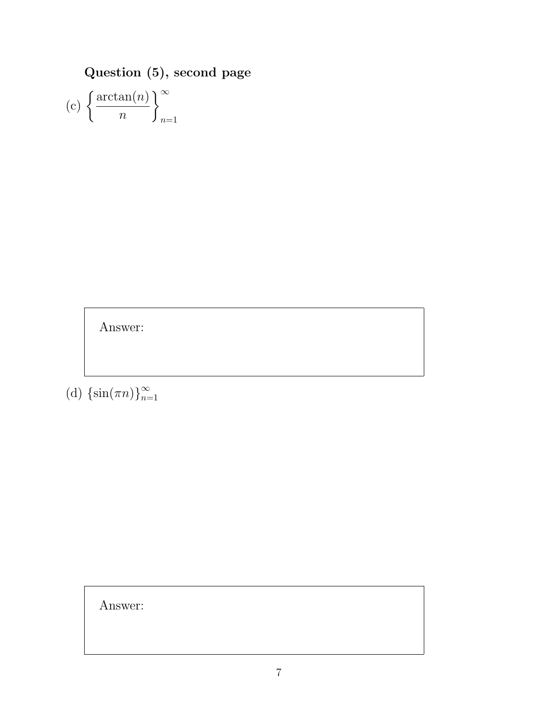Question (5), second page

(c) 
$$
\left\{\frac{\arctan(n)}{n}\right\}_{n=1}^{\infty}
$$

Answer:

(d)  $\{\sin(\pi n)\}_{n=1}^{\infty}$ 

Answer: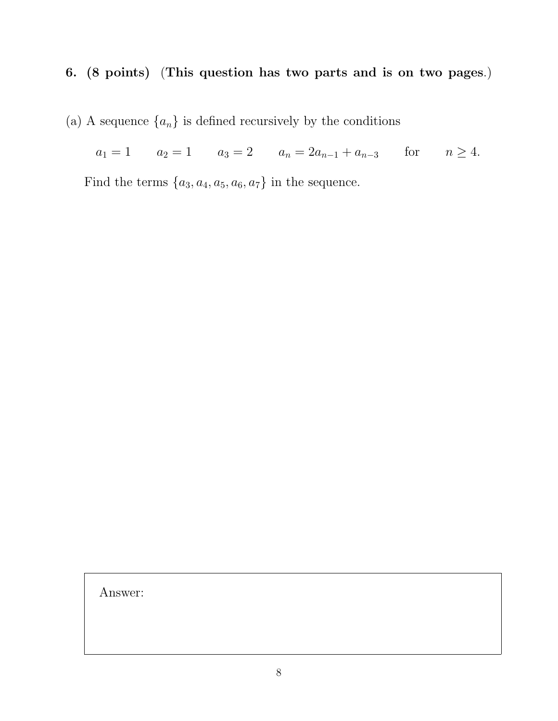## 6. (8 points) (This question has two parts and is on two pages.)

(a) A sequence  $\{a_n\}$  is defined recursively by the conditions

 $a_1 = 1$   $a_2 = 1$   $a_3 = 2$   $a_n = 2a_{n-1} + a_{n-3}$  for  $n \ge 4$ .

Find the terms  $\{a_3, a_4, a_5, a_6, a_7\}$  in the sequence.

Answer: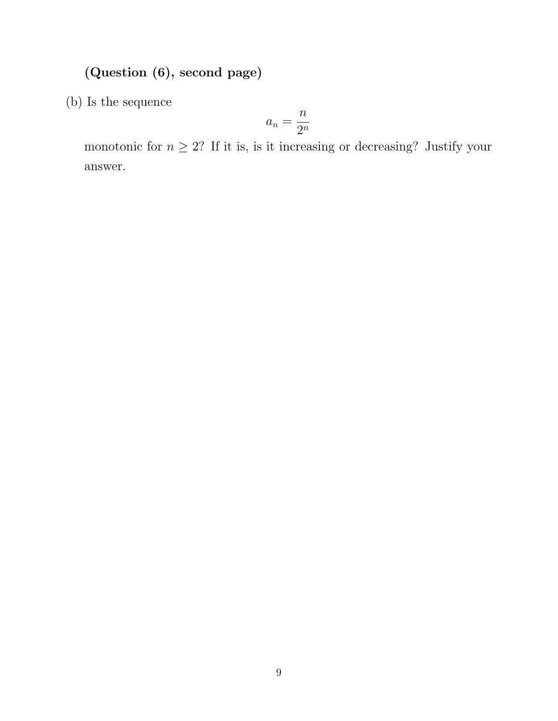## (Question (6), second page)

(b) Is the sequence

$$
a_n = \frac{n}{2^n}
$$

monotonic for  $n \geq 2$ ? If it is, is it increasing or decreasing? Justify your answer.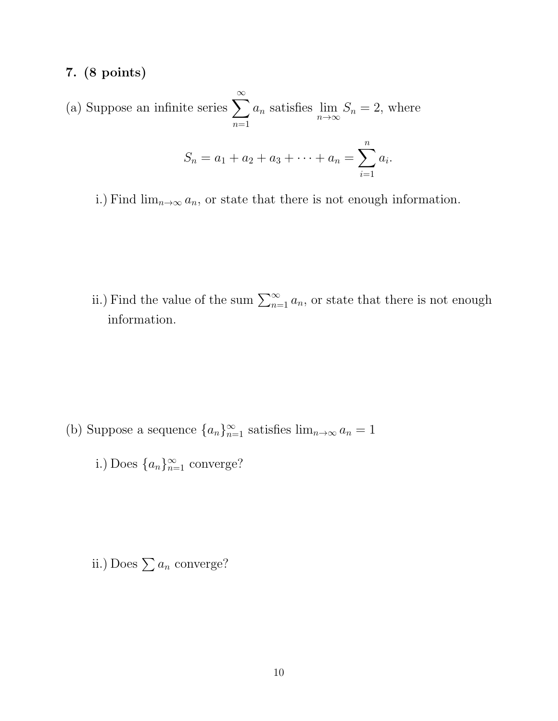(a) Suppose an infinite series  $\sum_{n=1}^{\infty}$ *n*=1 *a<sup>n</sup>* satisfies lim  $n\rightarrow\infty$  $S_n = 2$ , where  $S_n = a_1 + a_2 + a_3 + \cdots + a_n = \sum$ *n i*=1 *ai.*

i.) Find  $\lim_{n\to\infty} a_n$ , or state that there is not enough information.

ii.) Find the value of the sum  $\sum_{n=1}^{\infty} a_n$ , or state that there is not enough information.

- (b) Suppose a sequence  $\{a_n\}_{n=1}^{\infty}$  satisfies  $\lim_{n\to\infty} a_n = 1$ 
	- i.) Does  $\{a_n\}_{n=1}^{\infty}$  converge?

ii.) Does  $\sum a_n$  converge?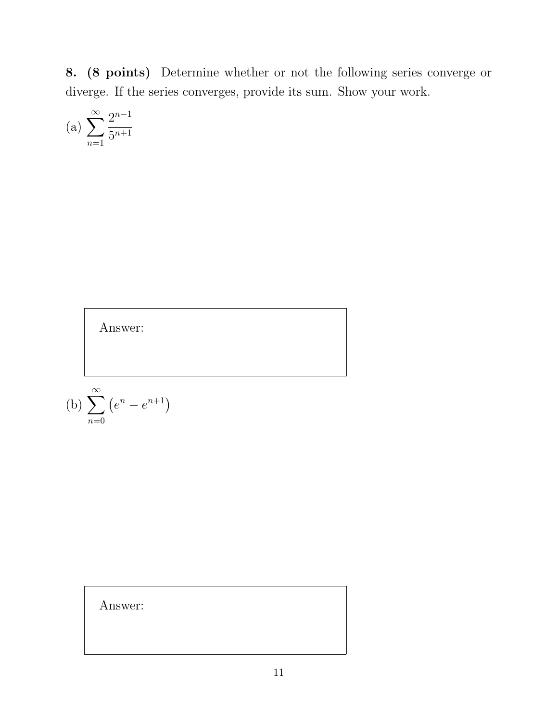8. (8 points) Determine whether or not the following series converge or diverge. If the series converges, provide its sum. Show your work.

(a) 
$$
\sum_{n=1}^{\infty} \frac{2^{n-1}}{5^{n+1}}
$$

Answer:

(b) 
$$
\sum_{n=0}^{\infty} (e^n - e^{n+1})
$$